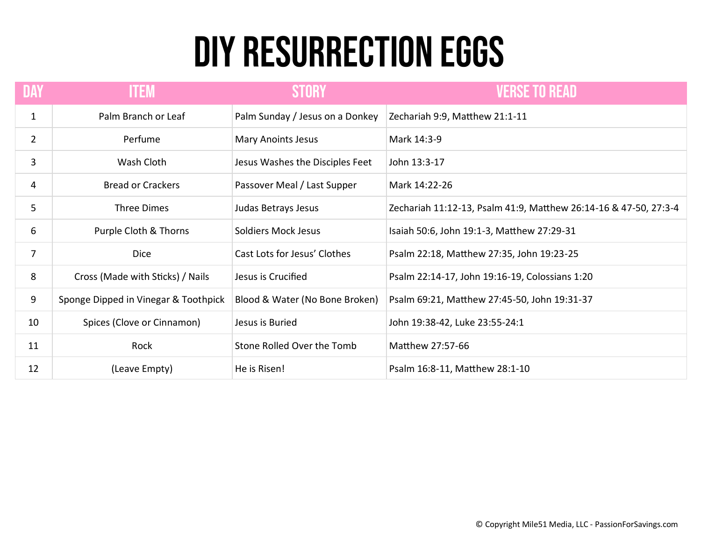## DIY RESURRECTION EGGS

| <b>DAY</b>     | <b>ITEM</b>                          | <b>STORY</b>                    | <b>VERSE TO READ</b>                                             |
|----------------|--------------------------------------|---------------------------------|------------------------------------------------------------------|
| $\mathbf{1}$   | Palm Branch or Leaf                  | Palm Sunday / Jesus on a Donkey | Zechariah 9:9, Matthew 21:1-11                                   |
| $\overline{2}$ | Perfume                              | Mary Anoints Jesus              | Mark 14:3-9                                                      |
| 3              | Wash Cloth                           | Jesus Washes the Disciples Feet | John 13:3-17                                                     |
| 4              | <b>Bread or Crackers</b>             | Passover Meal / Last Supper     | Mark 14:22-26                                                    |
| 5              | Three Dimes                          | Judas Betrays Jesus             | Zechariah 11:12-13, Psalm 41:9, Matthew 26:14-16 & 47-50, 27:3-4 |
| 6              | Purple Cloth & Thorns                | <b>Soldiers Mock Jesus</b>      | Isaiah 50:6, John 19:1-3, Matthew 27:29-31                       |
| $\overline{7}$ | <b>Dice</b>                          | Cast Lots for Jesus' Clothes    | Psalm 22:18, Matthew 27:35, John 19:23-25                        |
| 8              | Cross (Made with Sticks) / Nails     | Jesus is Crucified              | Psalm 22:14-17, John 19:16-19, Colossians 1:20                   |
| 9              | Sponge Dipped in Vinegar & Toothpick | Blood & Water (No Bone Broken)  | Psalm 69:21, Matthew 27:45-50, John 19:31-37                     |
| 10             | Spices (Clove or Cinnamon)           | Jesus is Buried                 | John 19:38-42, Luke 23:55-24:1                                   |
| 11             | Rock                                 | Stone Rolled Over the Tomb      | Matthew 27:57-66                                                 |
| 12             | (Leave Empty)                        | He is Risen!                    | Psalm 16:8-11, Matthew 28:1-10                                   |